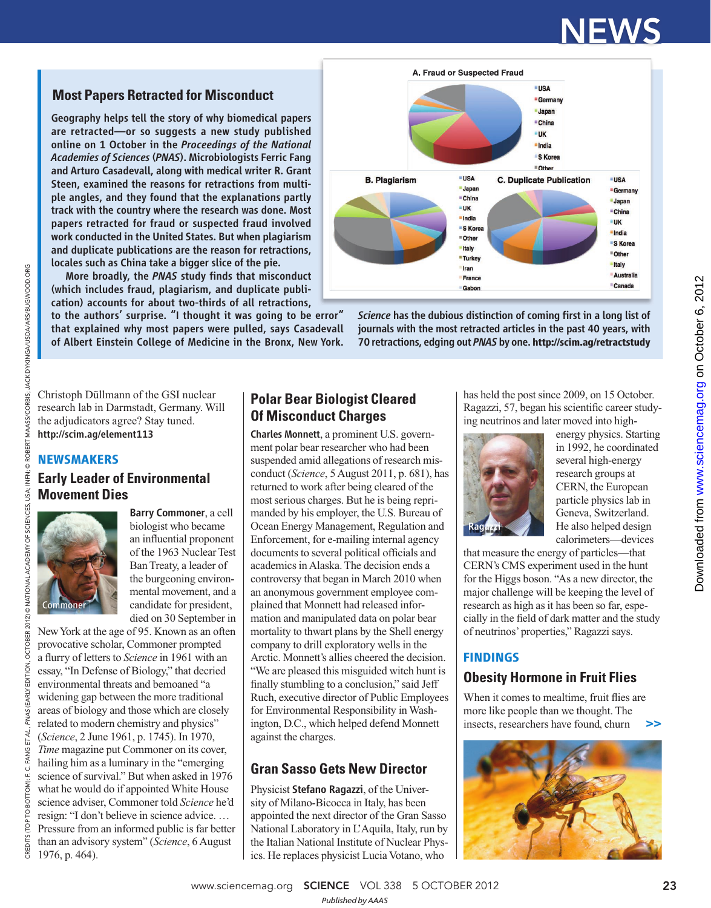# **NEWS**

### **Most Papers Retracted for Misconduct**

Geography helps tell the story of why biomedical papers are retracted—or so suggests a new study published online on 1 October in the *Proceedings of the National Academies of Sciences* (*PNAS*). Microbiologists Ferric Fang and Arturo Casadevall, along with medical writer R. Grant Steen, examined the reasons for retractions from multiple angles, and they found that the explanations partly track with the country where the research was done. Most papers retracted for fraud or suspected fraud involved work conducted in the United States. But when plagiarism and duplicate publications are the reason for retractions, locales such as China take a bigger slice of the pie.

More broadly, the PNAS study finds that misconduct (which includes fraud, plagiarism, and duplicate publication) accounts for about two-thirds of all retractions,

to the authors' surprise. "I thought it was going to be error" that explained why most papers were pulled, says Casadevall of Albert Einstein College of Medicine in the Bronx, New York.



**Science has the dubious distinction of coming first in a long list of** journals with the most retracted articles in the past 40 years, with 70 retractions, edging out *PNAS* by one. **http://scim.ag/retractstudy**

Christoph Düllmann of the GSI nuclear research lab in Darmstadt, Germany. Will the adjudicators agree? Stay tuned. http://scim.ag/element113

### **NEWSMAKERS**

### **Early Leader of Environmental Movement Dies**



Barry Commoner, a cell biologist who became an influential proponent of the 1963 Nuclear Test Ban Treaty, a leader of the burgeoning environmental movement, and a candidate for president, died on 30 September in

New York at the age of 95. Known as an often provocative scholar, Commoner prompted a flurry of letters to *Science* in 1961 with an essay, "In Defense of Biology," that decried environmental threats and bemoaned "a widening gap between the more traditional areas of biology and those which are closely related to modern chemistry and physics" (*Science*, 2 June 1961, p. 1745). In 1970, *Time* magazine put Commoner on its cover, hailing him as a luminary in the "emerging science of survival." But when asked in 1976 what he would do if appointed White House science adviser, Commoner told *Science* he'd resign: "I don't believe in science advice. … Pressure from an informed public is far better than an advisory system" (*Science*, 6 August 1976, p. 464).

### **Polar Bear Biologist Cleared Of Misconduct Charges**

Charles Monnett, a prominent U.S. government polar bear researcher who had been suspended amid allegations of research misconduct (*Science*, 5 August 2011, p. 681), has returned to work after being cleared of the most serious charges. But he is being reprimanded by his employer, the U.S. Bureau of Ocean Energy Management, Regulation and Enforcement, for e-mailing internal agency documents to several political officials and academics in Alaska. The decision ends a controversy that began in March 2010 when an anonymous government employee complained that Monnett had released information and manipulated data on polar bear mortality to thwart plans by the Shell energy company to drill exploratory wells in the Arctic. Monnett's allies cheered the decision. "We are pleased this misguided witch hunt is finally stumbling to a conclusion," said Jeff Ruch, executive director of Public Employees for Environmental Responsibility in Washington, D.C., which helped defend Monnett against the charges.

### **Gran Sasso Gets New Director**

Physicist Stefano Ragazzi, of the University of Milano-Bicocca in Italy, has been appointed the next director of the Gran Sasso National Laboratory in L'Aquila, Italy, run by the Italian National Institute of Nuclear Physics. He replaces physicist Lucia Votano, who

has held the post since 2009, on 15 October. Ragazzi, 57, began his scientific career studying neutrinos and later moved into high-



energy physics. Starting in 1992, he coordinated several high-energy research groups at CERN, the European particle physics lab in Geneva, Switzerland. He also helped design calorimeters—devices

that measure the energy of particles—that CERN's CMS experiment used in the hunt for the Higgs boson. "As a new director, the major challenge will be keeping the level of research as high as it has been so far, especially in the field of dark matter and the study of neutrinos' properties," Ragazzi says.

### **FINDINGS**

### **Obesity Hormone in Fruit Flies**

When it comes to mealtime, fruit flies are more like people than we thought. The insects, researchers have found, churn **>>**